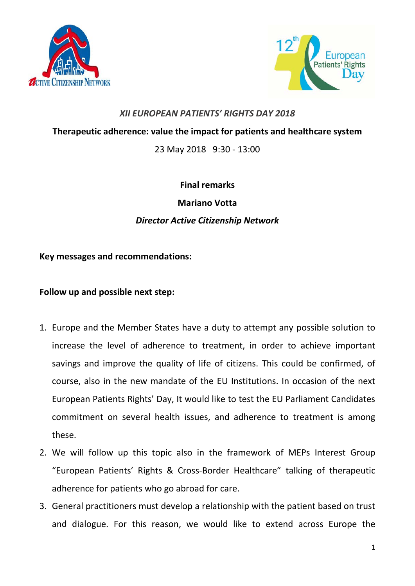



## *XII EUROPEAN PATIENTS' RIGHTS DAY 2018*

**Therapeutic adherence: value the impact for patients and healthcare system**

23 May 2018 9:30 - 13:00

## **Final remarks Mariano Votta** *Director Active Citizenship Network*

## **Key messages and recommendations:**

## **Follow up and possible next step:**

- 1. Europe and the Member States have a duty to attempt any possible solution to increase the level of adherence to treatment, in order to achieve important savings and improve the quality of life of citizens. This could be confirmed, of course, also in the new mandate of the EU Institutions. In occasion of the next European Patients Rights' Day, It would like to test the EU Parliament Candidates commitment on several health issues, and adherence to treatment is among these.
- 2. We will follow up this topic also in the framework of MEPs Interest Group "European Patients' Rights & Cross-Border Healthcare" talking of therapeutic adherence for patients who go abroad for care.
- 3. General practitioners must develop a relationship with the patient based on trust and dialogue. For this reason, we would like to extend across Europe the